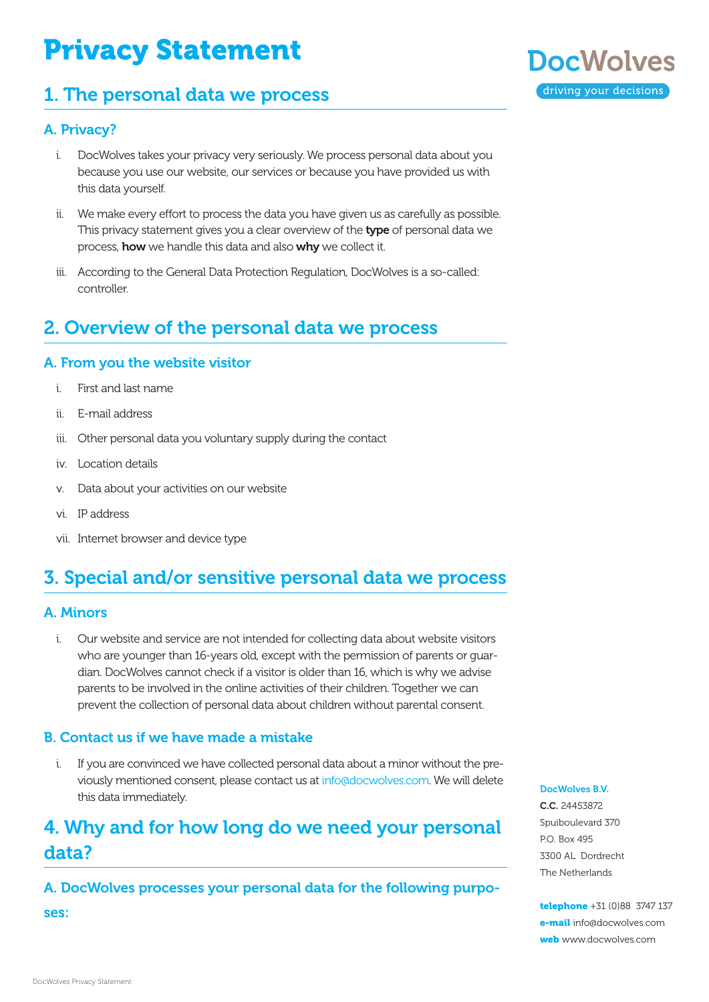# Privacy Statement

# 1. The personal data we process

# **DocWolves** driving your decisions

### A. Privacy?

- i. DocWolves takes your privacy very seriously. We process personal data about you because you use our website, our services or because you have provided us with this data yourself.
- ii. We make every effort to process the data you have given us as carefully as possible. This privacy statement gives you a clear overview of the type of personal data we process, how we handle this data and also why we collect it.
- iii. According to the General Data Protection Regulation, DocWolves is a so-called: controller.

# 2. Overview of the personal data we process

### A. From you the website visitor

- i. First and last name
- ii. E-mail address
- iii. Other personal data you voluntary supply during the contact
- iv. Location details
- v. Data about your activities on our website
- vi. IP address
- vii. Internet browser and device type

# 3. Special and/or sensitive personal data we process

### A. Minors

i. Our website and service are not intended for collecting data about website visitors who are younger than 16-years old, except with the permission of parents or guardian. DocWolves cannot check if a visitor is older than 16, which is why we advise parents to be involved in the online activities of their children. Together we can prevent the collection of personal data about children without parental consent.

### B. Contact us if we have made a mistake

i. If you are convinced we have collected personal data about a minor without the previously mentioned consent, please contact us at [info@docwolves.c](mailto:info%40docwolves.com?subject=)om. We will delete this data immediately.

# 4. Why and for how long do we need your personal data?

A. DocWolves processes your personal data for the following purpo-

ses:

#### DocWolves B.V.

C.C. 24453872 Spuiboulevard 370 P.O. Box 495 3300 AL Dordrecht The Netherlands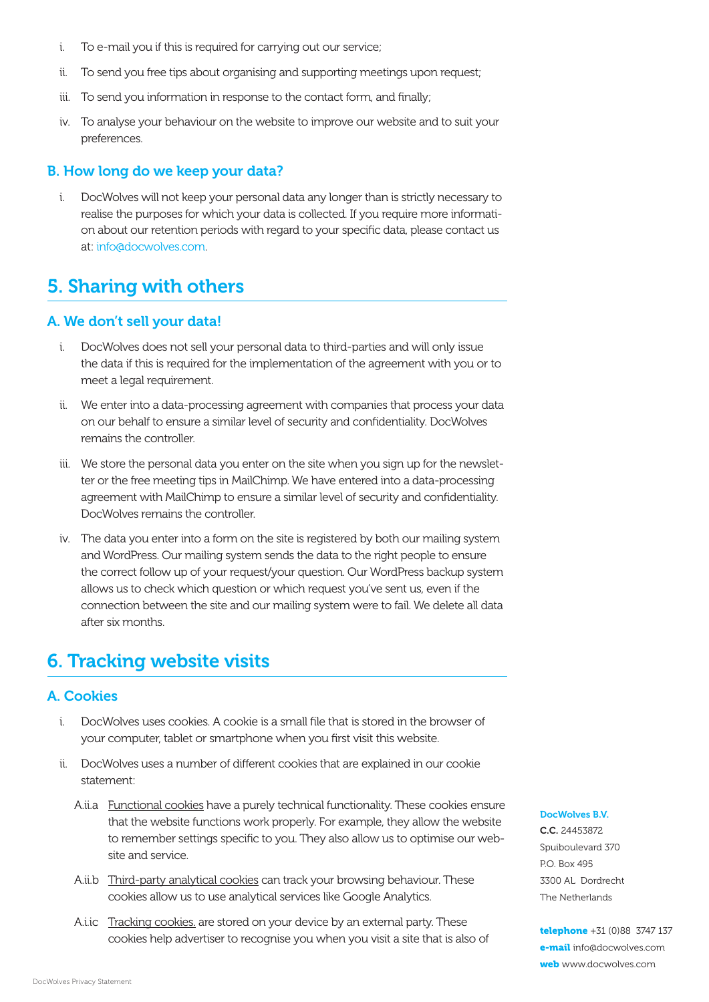- i. To e-mail you if this is required for carrying out our service;
- ii. To send you free tips about organising and supporting meetings upon request;
- iii. To send you information in response to the contact form, and finally;
- iv. To analyse your behaviour on the website to improve our website and to suit your preferences.

#### B. How long do we keep your data?

i. DocWolves will not keep your personal data any longer than is strictly necessary to realise the purposes for which your data is collected. If you require more information about our retention periods with regard to your specific data, please contact us at: [info@docwolves.](mailto:info%40docwolves.com?subject=)com.

### 5. Sharing with others

#### A. We don't sell your data!

- i. DocWolves does not sell your personal data to third-parties and will only issue the data if this is required for the implementation of the agreement with you or to meet a legal requirement.
- ii. We enter into a data-processing agreement with companies that process your data on our behalf to ensure a similar level of security and confidentiality. DocWolves remains the controller.
- iii. We store the personal data you enter on the site when you sign up for the newsletter or the free meeting tips in MailChimp. We have entered into a data-processing agreement with MailChimp to ensure a similar level of security and confidentiality. DocWolves remains the controller.
- iv. The data you enter into a form on the site is registered by both our mailing system and WordPress. Our mailing system sends the data to the right people to ensure the correct follow up of your request/your question. Our WordPress backup system allows us to check which question or which request you've sent us, even if the connection between the site and our mailing system were to fail. We delete all data after six months.

### 6. Tracking website visits

#### A. Cookies

- i. DocWolves uses cookies. A cookie is a small file that is stored in the browser of your computer, tablet or smartphone when you first visit this website.
- ii. DocWolves uses a number of different cookies that are explained in our cookie statement:
	- A.ii.a Functional cookies have a purely technical functionality. These cookies ensure that the website functions work properly. For example, they allow the website to remember settings specific to you. They also allow us to optimise our website and service.
	- A.ii.b Third-party analytical cookies can track your browsing behaviour. These cookies allow us to use analytical services like Google Analytics.
	- A.i.ic Tracking cookies. are stored on your device by an external party. These cookies help advertiser to recognise you when you visit a site that is also of

DocWolves B.V.

C.C. 24453872 Spuiboulevard 370 P.O. Box 495 3300 AL Dordrecht The Netherlands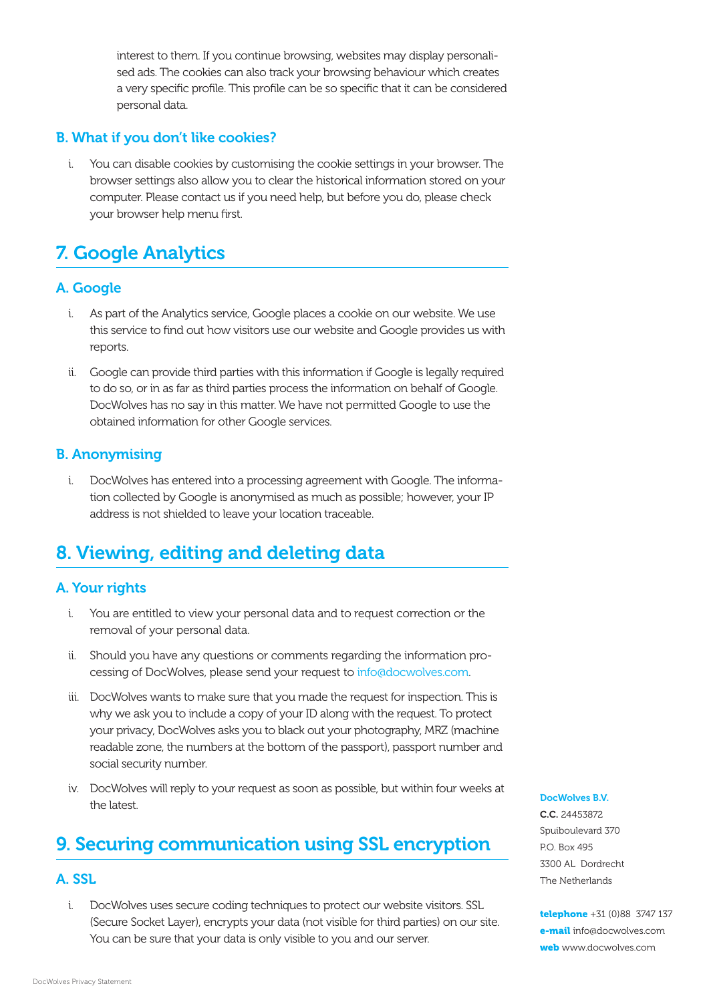interest to them. If you continue browsing, websites may display personalised ads. The cookies can also track your browsing behaviour which creates a very specific profile. This profile can be so specific that it can be considered personal data.

### B. What if you don't like cookies?

i. You can disable cookies by customising the cookie settings in your browser. The browser settings also allow you to clear the historical information stored on your computer. Please contact us if you need help, but before you do, please check your browser help menu first.

# 7. Google Analytics

### A. Google

- i. As part of the Analytics service, Google places a cookie on our website. We use this service to find out how visitors use our website and Google provides us with reports.
- ii. Google can provide third parties with this information if Google is legally required to do so, or in as far as third parties process the information on behalf of Google. DocWolves has no say in this matter. We have not permitted Google to use the obtained information for other Google services.

### B. Anonymising

i. DocWolves has entered into a processing agreement with Google. The information collected by Google is anonymised as much as possible; however, your IP address is not shielded to leave your location traceable.

# 8. Viewing, editing and deleting data

### A. Your rights

- i. You are entitled to view your personal data and to request correction or the removal of your personal data.
- ii. Should you have any questions or comments regarding the information processing of DocWolves, please send your request to [info@docwolves.](mailto:info%40docwolves.com?subject=)com.
- iii. DocWolves wants to make sure that you made the request for inspection. This is why we ask you to include a copy of your ID along with the request. To protect your privacy, DocWolves asks you to black out your photography, MRZ (machine readable zone, the numbers at the bottom of the passport), passport number and social security number.
- iv. DocWolves will reply to your request as soon as possible, but within four weeks at the latest.

## 9. Securing communication using SSL encryption

### A. SSL

i. DocWolves uses secure coding techniques to protect our website visitors. SSL (Secure Socket Layer), encrypts your data (not visible for third parties) on our site. You can be sure that your data is only visible to you and our server.

DocWolves B.V.

C.C. 24453872 Spuiboulevard 370 P.O. Box 495 3300 AL Dordrecht The Netherlands